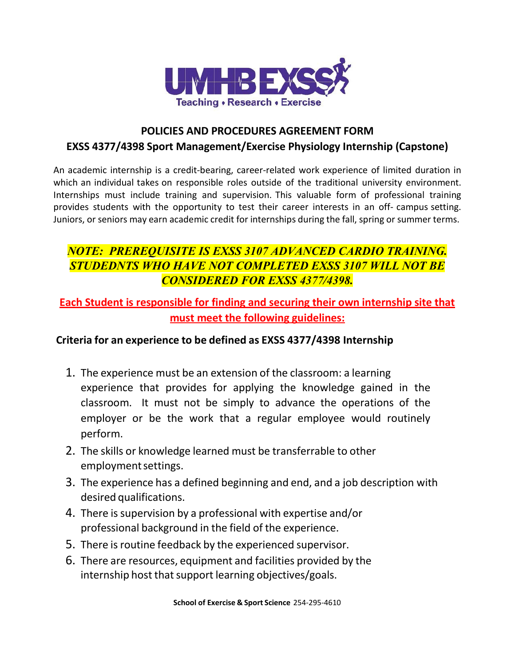

## **POLICIES AND PROCEDURES AGREEMENT FORM EXSS 4377/4398 Sport Management/Exercise Physiology Internship (Capstone)**

An academic internship is a credit-bearing, career-related work experience of limited duration in which an individual takes on responsible roles outside of the traditional university environment. Internships must include training and supervision. This valuable form of professional training provides students with the opportunity to test their career interests in an off- campus setting. Juniors, or seniors may earn academic credit for internships during the fall, spring or summer terms.

## *NOTE: PREREQUISITE IS EXSS 3107 ADVANCED CARDIO TRAINING. STUDEDNTS WHO HAVE NOT COMPLETED EXSS 3107 WILL NOT BE CONSIDERED FOR EXSS 4377/4398.*

## **Each Student is responsible for finding and securing their own internship site that must meet the following guidelines:**

## **Criteria for an experience to be defined as EXSS 4377/4398 Internship**

- 1. The experience must be an extension of the classroom: a learning experience that provides for applying the knowledge gained in the classroom. It must not be simply to advance the operations of the employer or be the work that a regular employee would routinely perform.
- 2. The skills or knowledge learned must be transferrable to other employmentsettings.
- 3. The experience has a defined beginning and end, and a job description with desired qualifications.
- 4. There is supervision by a professional with expertise and/or professional background in the field of the experience.
- 5. There is routine feedback by the experienced supervisor.
- 6. There are resources, equipment and facilities provided by the internship host that support learning objectives/goals.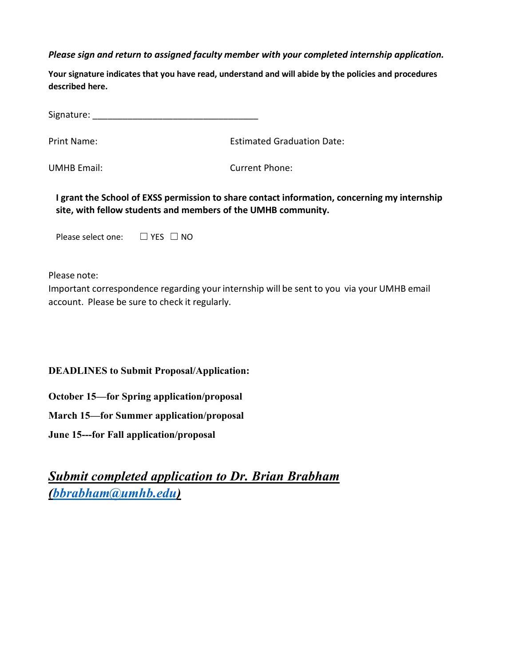### *Please sign and return to assigned faculty member with your completed internship application.*

**Your signature indicates that you have read, understand and will abide by the policies and procedures described here.**

Signature: \_\_\_\_\_\_\_\_\_\_\_\_\_\_\_\_\_\_\_\_\_\_\_\_\_\_\_\_\_\_\_\_\_

Print Name: Estimated Graduation Date:

UMHB Email: Current Phone:

**I grant the School of EXSS permission to share contact information, concerning my internship site, with fellow students and members of the UMHB community.**

Please select one: □ YES □ NO

Please note:

Important correspondence regarding your internship will be sent to you via your UMHB email account. Please be sure to check it regularly.

**DEADLINES to Submit Proposal/Application:** 

**October 15—for Spring application/proposal**

**March 15—for Summer application/proposal**

**June 15---for Fall application/proposal**

*Submit completed application to Dr. Brian Brabham [\(bbrabham@umhb.edu\)](mailto:bbrabham@umhb.edu)*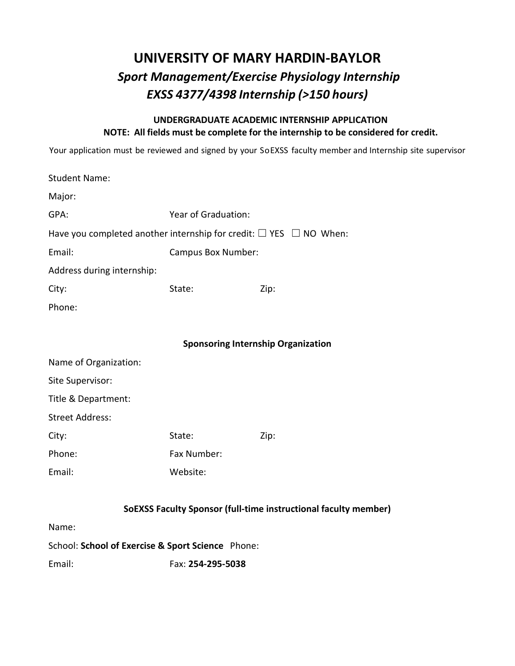# **UNIVERSITY OF MARY HARDIN-BAYLOR** *Sport Management/Exercise Physiology Internship EXSS 4377/4398 Internship (>150 hours)*

### **UNDERGRADUATE ACADEMIC INTERNSHIP APPLICATION NOTE: All fields must be complete for the internship to be considered for credit.**

Your application must be reviewed and signed by your SoEXSS faculty member and Internship site supervisor

| <b>Student Name:</b>                                                         |                     |      |  |  |  |  |  |
|------------------------------------------------------------------------------|---------------------|------|--|--|--|--|--|
| Major:                                                                       |                     |      |  |  |  |  |  |
| GPA:                                                                         | Year of Graduation: |      |  |  |  |  |  |
| Have you completed another internship for credit: $\Box$ YES $\Box$ NO When: |                     |      |  |  |  |  |  |
| Email:                                                                       | Campus Box Number:  |      |  |  |  |  |  |
| Address during internship:                                                   |                     |      |  |  |  |  |  |
| City:                                                                        | State:              | Zip: |  |  |  |  |  |
| Phone:                                                                       |                     |      |  |  |  |  |  |
|                                                                              |                     |      |  |  |  |  |  |
| <b>Sponsoring Internship Organization</b>                                    |                     |      |  |  |  |  |  |
| Name of Organization:                                                        |                     |      |  |  |  |  |  |
| Site Supervisor:                                                             |                     |      |  |  |  |  |  |
| Title & Department:                                                          |                     |      |  |  |  |  |  |
| <b>Street Address:</b>                                                       |                     |      |  |  |  |  |  |
| City:                                                                        | State:              | Zip: |  |  |  |  |  |
| Phone:                                                                       | Fax Number:         |      |  |  |  |  |  |
| Email:                                                                       | Website:            |      |  |  |  |  |  |
|                                                                              |                     |      |  |  |  |  |  |
| SoEXSS Faculty Sponsor (full-time instructional faculty member)              |                     |      |  |  |  |  |  |

Name:

School: **School of Exercise & Sport Science** Phone:

Email: Fax: **254-295-5038**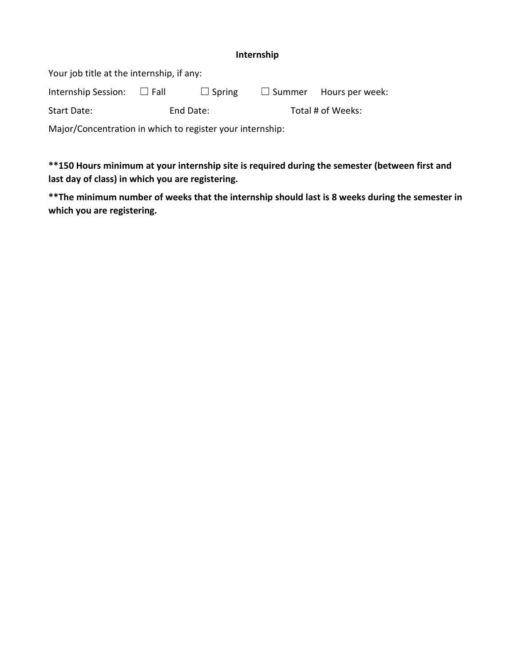#### **Internship**

| Your job title at the internship, if any: |           |               |                   |                               |  |  |  |  |
|-------------------------------------------|-----------|---------------|-------------------|-------------------------------|--|--|--|--|
| Internship Session: $\Box$ Fall           |           | $\Box$ Spring |                   | $\Box$ Summer Hours per week: |  |  |  |  |
| Start Date:                               | End Date: |               | Total # of Weeks: |                               |  |  |  |  |

Major/Concentration in which to register your internship:

**\*\*150 Hours minimum at your internship site is required during the semester (between first and last day of class) in which you are registering.**

**\*\*The minimum number of weeks that the internship should last is 8 weeks during the semester in which you are registering.**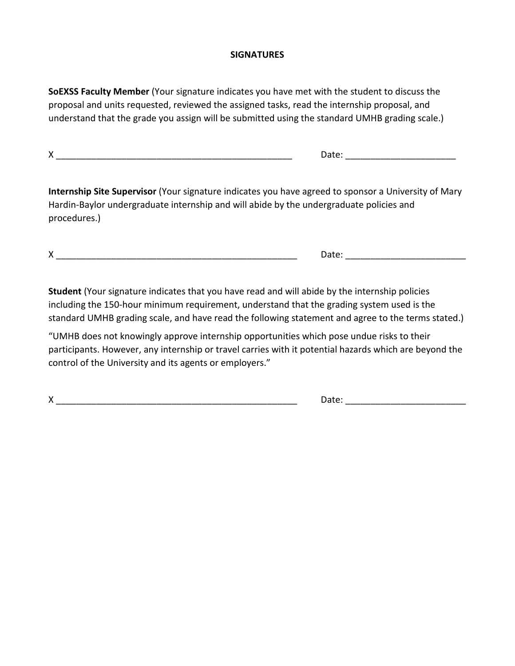### **SIGNATURES**

**SoEXSS Faculty Member** (Your signature indicates you have met with the student to discuss the proposal and units requested, reviewed the assigned tasks, read the internship proposal, and understand that the grade you assign will be submitted using the standard UMHB grading scale.)

X \_\_\_\_\_\_\_\_\_\_\_\_\_\_\_\_\_\_\_\_\_\_\_\_\_\_\_\_\_\_\_\_\_\_\_\_\_\_\_\_\_\_\_\_\_\_\_ Date: \_\_\_\_\_\_\_\_\_\_\_\_\_\_\_\_\_\_\_\_\_\_

**Internship Site Supervisor** (Your signature indicates you have agreed to sponsor a University of Mary Hardin-Baylor undergraduate internship and will abide by the undergraduate policies and procedures.)

X and the contract of the contract of the contract of the contract of the contract of the contract of the contract of the contract of the contract of the contract of the contract of the contract of the contract of the cont

**Student** (Your signature indicates that you have read and will abide by the internship policies including the 150-hour minimum requirement, understand that the grading system used is the standard UMHB grading scale, and have read the following statement and agree to the terms stated.)

"UMHB does not knowingly approve internship opportunities which pose undue risks to their participants. However, any internship or travel carries with it potential hazards which are beyond the control of the University and its agents or employers."

X \_\_\_\_\_\_\_\_\_\_\_\_\_\_\_\_\_\_\_\_\_\_\_\_\_\_\_\_\_\_\_\_\_\_\_\_\_\_\_\_\_\_\_\_\_\_\_\_ Date: \_\_\_\_\_\_\_\_\_\_\_\_\_\_\_\_\_\_\_\_\_\_\_\_